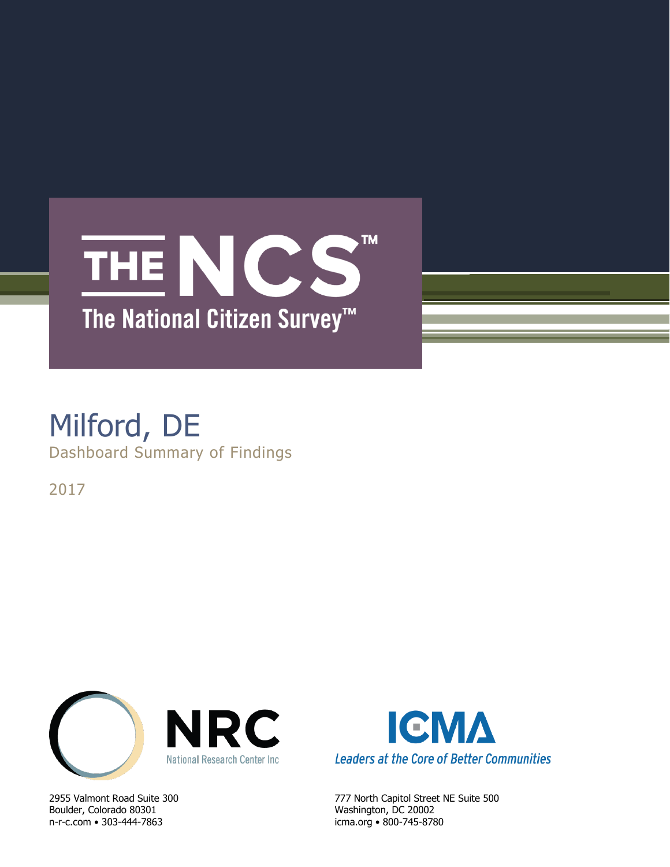## **TM** THE NCS The National Citizen Survey<sup>™</sup>

### Milford, DE Dashboard Summary of Findings

2017



Boulder, Colorado 80301 Washington, DC 20002 n-r-c.com • 303-444-7863 icma.org • 800-745-8780



2955 Valmont Road Suite 300 777 North Capitol Street NE Suite 500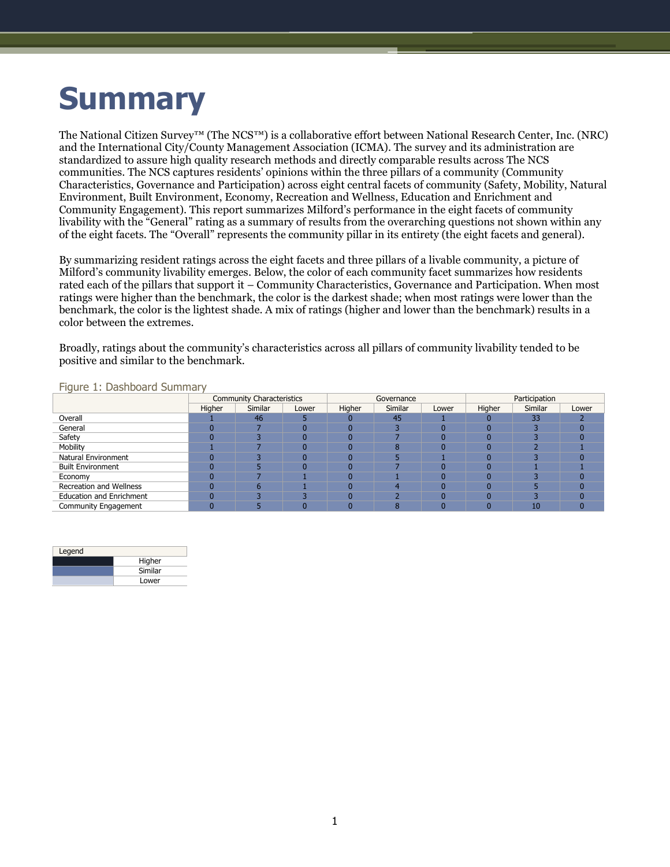# **Summary**

The National Citizen Survey™ (The NCS™) is a collaborative effort between National Research Center, Inc. (NRC) and the International City/County Management Association (ICMA). The survey and its administration are standardized to assure high quality research methods and directly comparable results across The NCS communities. The NCS captures residents' opinions within the three pillars of a community (Community Characteristics, Governance and Participation) across eight central facets of community (Safety, Mobility, Natural Environment, Built Environment, Economy, Recreation and Wellness, Education and Enrichment and Community Engagement). This report summarizes Milford's performance in the eight facets of community livability with the "General" rating as a summary of results from the overarching questions not shown within any of the eight facets. The "Overall" represents the community pillar in its entirety (the eight facets and general).

By summarizing resident ratings across the eight facets and three pillars of a livable community, a picture of Milford's community livability emerges. Below, the color of each community facet summarizes how residents rated each of the pillars that support it – Community Characteristics, Governance and Participation. When most ratings were higher than the benchmark, the color is the darkest shade; when most ratings were lower than the benchmark, the color is the lightest shade. A mix of ratings (higher and lower than the benchmark) results in a color between the extremes.

Broadly, ratings about the community's characteristics across all pillars of community livability tended to be positive and similar to the benchmark.

|                                 | <b>Community Characteristics</b> |         |       | Governance |                        |       | Participation |         |       |
|---------------------------------|----------------------------------|---------|-------|------------|------------------------|-------|---------------|---------|-------|
|                                 | Higher                           | Similar | Lower | Higher     | Similar                | Lower | Higher        | Similar | Lower |
| Overall                         |                                  | 46      |       |            | 45                     |       |               | 33      |       |
| General                         |                                  |         |       |            |                        |       |               |         |       |
| Safety                          |                                  |         |       |            |                        |       |               |         |       |
| Mobility                        |                                  |         |       |            |                        |       |               |         |       |
| Natural Environment             |                                  |         |       |            |                        |       |               |         |       |
| <b>Built Environment</b>        |                                  |         | n     |            |                        |       |               |         |       |
| Economy                         |                                  |         |       |            |                        |       |               |         |       |
| Recreation and Wellness         |                                  |         |       |            | $\boldsymbol{\Lambda}$ |       |               |         |       |
| <b>Education and Enrichment</b> |                                  |         |       |            |                        |       |               |         |       |
| Community Engagement            |                                  |         |       |            |                        |       |               | 10      |       |

Figure 1: Dashboard Summary

| Legend |         |
|--------|---------|
|        | Higher  |
|        | Similar |
|        | Lower   |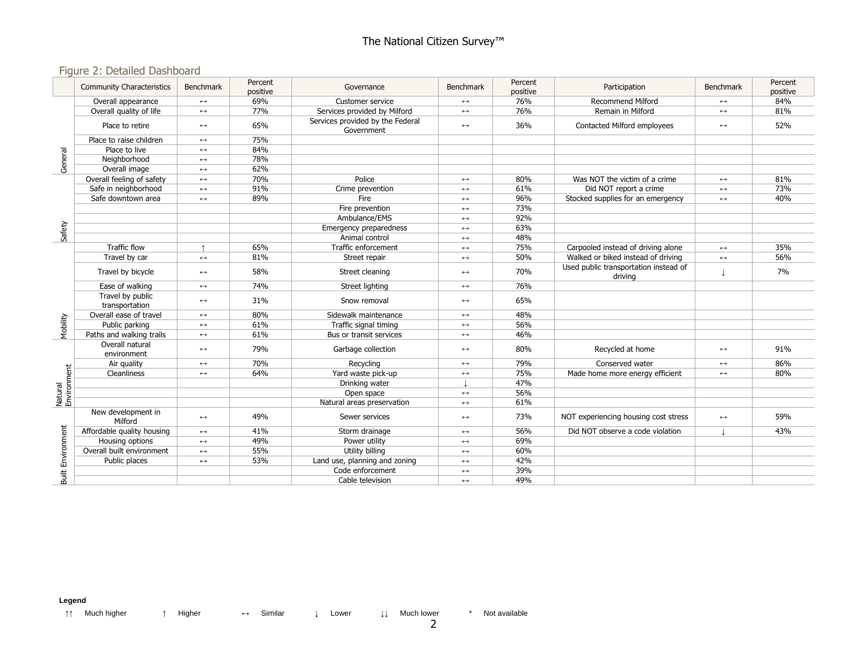### The National Citizen Survey™

### Figure 2: Detailed Dashboard

|                          | <b>Community Characteristics</b>   | <b>Benchmark</b>      | Percent<br>positive | Governance                                                             | Benchmark             | Percent<br>positive | Participation                                    | <b>Benchmark</b>  | Percent<br>positive |
|--------------------------|------------------------------------|-----------------------|---------------------|------------------------------------------------------------------------|-----------------------|---------------------|--------------------------------------------------|-------------------|---------------------|
|                          | Overall appearance                 | $\leftrightarrow$     | 69%                 | Customer service                                                       | $\leftrightarrow$     | 76%                 | <b>Recommend Milford</b>                         | $\leftrightarrow$ | 84%                 |
|                          | Overall quality of life            | $\leftrightarrow$     | 77%                 | Services provided by Milford                                           | $\leftrightarrow$     | 76%                 | Remain in Milford                                | $\leftrightarrow$ | 81%                 |
|                          | Place to retire                    | $\leftrightarrow$     | 65%                 | Services provided by the Federal<br>Government                         | $\leftrightarrow$     | 36%                 | Contacted Milford employees                      | $\leftrightarrow$ | 52%                 |
|                          | Place to raise children            | $\leftrightarrow$     | 75%                 |                                                                        |                       |                     |                                                  |                   |                     |
|                          | Place to live                      | $\leftrightarrow$     | 84%                 |                                                                        |                       |                     |                                                  |                   |                     |
| General                  | Neighborhood                       | $\longleftrightarrow$ | 78%                 |                                                                        |                       |                     |                                                  |                   |                     |
|                          | Overall image                      | $\leftrightarrow$     | 62%                 |                                                                        |                       |                     |                                                  |                   |                     |
|                          | Overall feeling of safety          | $\leftrightarrow$     | 70%                 | Police                                                                 | $\longleftrightarrow$ | 80%                 | Was NOT the victim of a crime                    | $\leftrightarrow$ | 81%                 |
|                          | Safe in neighborhood               | $\leftrightarrow$     | 91%                 | Crime prevention<br>61%<br>Did NOT report a crime<br>$\leftrightarrow$ |                       | $\leftrightarrow$   | 73%                                              |                   |                     |
|                          | Safe downtown area                 | $\leftrightarrow$     | 89%                 | Fire                                                                   | $\leftrightarrow$     | 96%                 | Stocked supplies for an emergency                |                   | 40%                 |
|                          |                                    |                       |                     | Fire prevention                                                        | $\leftrightarrow$     | 73%                 |                                                  |                   |                     |
|                          |                                    |                       |                     | Ambulance/EMS                                                          | $\leftrightarrow$     | 92%                 |                                                  |                   |                     |
| Safety                   |                                    |                       |                     | Emergency preparedness                                                 | $\longleftrightarrow$ | 63%                 |                                                  |                   |                     |
|                          |                                    |                       |                     | Animal control                                                         | $\leftrightarrow$     | 48%                 |                                                  |                   |                     |
|                          | Traffic flow                       |                       | 65%                 | Traffic enforcement                                                    | $\leftrightarrow$     | 75%                 | Carpooled instead of driving alone               | $\leftrightarrow$ | 35%                 |
|                          | Travel by car                      | $\leftrightarrow$     | 81%                 | Street repair                                                          | $\leftrightarrow$     | 50%                 | Walked or biked instead of driving               | $\leftrightarrow$ | 56%                 |
|                          | Travel by bicycle                  | $\leftrightarrow$     | 58%                 | Street cleaning                                                        | $\leftrightarrow$     | 70%                 | Used public transportation instead of<br>driving |                   | 7%                  |
|                          | Ease of walking                    | $\leftrightarrow$     | 74%                 | Street lighting                                                        | $\leftrightarrow$     | 76%                 |                                                  |                   |                     |
|                          | Travel by public<br>transportation | $\leftrightarrow$     | 31%                 | Snow removal                                                           | $\leftrightarrow$     | 65%                 |                                                  |                   |                     |
|                          | Overall ease of travel             | $\leftrightarrow$     | 80%                 | Sidewalk maintenance                                                   | $\longleftrightarrow$ | 48%                 |                                                  |                   |                     |
|                          | Public parking                     | $\leftrightarrow$     | 61%                 | Traffic signal timing                                                  | $\longleftrightarrow$ | 56%                 |                                                  |                   |                     |
| Mobility                 | Paths and walking trails           | $\leftrightarrow$     | 61%                 | Bus or transit services                                                | $\leftrightarrow$     | 46%                 |                                                  |                   |                     |
|                          | Overall natural<br>environment     | $\leftrightarrow$     | 79%                 | Garbage collection                                                     | $\leftrightarrow$     | 80%                 | Recycled at home                                 | $\leftrightarrow$ | 91%                 |
|                          | Air quality                        | $\longleftrightarrow$ | 70%                 | Recycling                                                              | $\longleftrightarrow$ | 79%                 | Conserved water                                  | $\leftrightarrow$ | 86%                 |
| Natural<br>Environment   | Cleanliness                        | $\leftrightarrow$     | 64%                 | Yard waste pick-up                                                     | $\leftrightarrow$     | 75%                 | Made home more energy efficient                  | $\leftrightarrow$ | 80%                 |
|                          |                                    |                       |                     | Drinking water                                                         |                       | 47%                 |                                                  |                   |                     |
|                          |                                    |                       |                     | Open space                                                             | $\leftrightarrow$     | 56%                 |                                                  |                   |                     |
|                          |                                    |                       |                     | Natural areas preservation                                             | $\longleftrightarrow$ | 61%                 |                                                  |                   |                     |
|                          | New development in<br>Milford      | $\leftrightarrow$     | 49%                 | Sewer services                                                         | $\leftrightarrow$     | 73%                 | NOT experiencing housing cost stress             | $\leftrightarrow$ | 59%                 |
| <b>Built Environment</b> | Affordable quality housing         | $\leftrightarrow$     | 41%                 | Storm drainage                                                         | $\leftrightarrow$     | 56%                 | Did NOT observe a code violation                 |                   | 43%                 |
|                          | Housing options                    | $\leftrightarrow$     | 49%                 | Power utility                                                          | $\leftrightarrow$     | 69%                 |                                                  |                   |                     |
|                          | Overall built environment          | $\leftrightarrow$     | 55%                 | Utility billing                                                        | $\longleftrightarrow$ | 60%                 |                                                  |                   |                     |
|                          | Public places                      | $\leftrightarrow$     | 53%                 | Land use, planning and zoning                                          | $\leftrightarrow$     | 42%                 |                                                  |                   |                     |
|                          |                                    |                       |                     | Code enforcement                                                       | $\leftrightarrow$     | 39%                 |                                                  |                   |                     |
|                          |                                    |                       |                     | Cable television                                                       | $\leftrightarrow$     | 49%                 |                                                  |                   |                     |

**Legend**

↑↑ Much higher ↑ Higher ↔ Similar ↓ Lower ↓↓ Much lower \* Not available

2